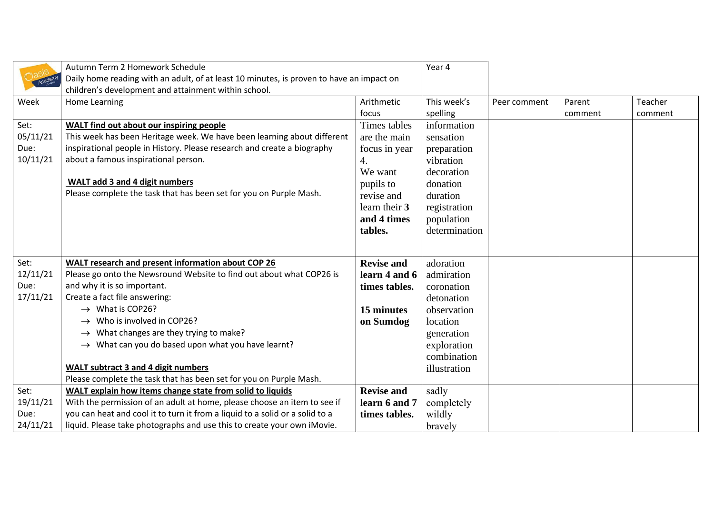|                  | Autumn Term 2 Homework Schedule                                                                                                                  |                   |                           |              |         |         |
|------------------|--------------------------------------------------------------------------------------------------------------------------------------------------|-------------------|---------------------------|--------------|---------|---------|
|                  | Daily home reading with an adult, of at least 10 minutes, is proven to have an impact on<br>children's development and attainment within school. |                   |                           |              |         |         |
| Week             | Home Learning                                                                                                                                    | Arithmetic        | This week's               | Peer comment | Parent  | Teacher |
|                  |                                                                                                                                                  | focus             | spelling                  |              | comment | comment |
| Set:             | WALT find out about our inspiring people                                                                                                         | Times tables      | information               |              |         |         |
| 05/11/21         | This week has been Heritage week. We have been learning about different                                                                          | are the main      | sensation                 |              |         |         |
| Due:             | inspirational people in History. Please research and create a biography                                                                          | focus in year     | preparation               |              |         |         |
| 10/11/21         | about a famous inspirational person.                                                                                                             | 4.                | vibration                 |              |         |         |
|                  |                                                                                                                                                  | We want           | decoration                |              |         |         |
|                  | <b>WALT add 3 and 4 digit numbers</b>                                                                                                            | pupils to         | donation                  |              |         |         |
|                  | Please complete the task that has been set for you on Purple Mash.                                                                               | revise and        | duration                  |              |         |         |
|                  |                                                                                                                                                  | learn their 3     | registration              |              |         |         |
|                  |                                                                                                                                                  | and 4 times       | population                |              |         |         |
|                  |                                                                                                                                                  | tables.           | determination             |              |         |         |
|                  |                                                                                                                                                  |                   |                           |              |         |         |
|                  |                                                                                                                                                  | <b>Revise and</b> |                           |              |         |         |
| Set:<br>12/11/21 | WALT research and present information about COP 26<br>Please go onto the Newsround Website to find out about what COP26 is                       | learn 4 and 6     | adoration<br>admiration   |              |         |         |
| Due:             | and why it is so important.                                                                                                                      |                   | coronation                |              |         |         |
| 17/11/21         | Create a fact file answering:                                                                                                                    | times tables.     |                           |              |         |         |
|                  | $\rightarrow$ What is COP26?                                                                                                                     | 15 minutes        | detonation                |              |         |         |
|                  | $\rightarrow$ Who is involved in COP26?                                                                                                          |                   | observation               |              |         |         |
|                  | $\rightarrow$ What changes are they trying to make?                                                                                              | on Sumdog         | location                  |              |         |         |
|                  | $\rightarrow$ What can you do based upon what you have learnt?                                                                                   |                   | generation<br>exploration |              |         |         |
|                  |                                                                                                                                                  |                   | combination               |              |         |         |
|                  | <b>WALT subtract 3 and 4 digit numbers</b>                                                                                                       |                   | illustration              |              |         |         |
|                  | Please complete the task that has been set for you on Purple Mash.                                                                               |                   |                           |              |         |         |
| Set:             | WALT explain how items change state from solid to liquids                                                                                        | <b>Revise and</b> | sadly                     |              |         |         |
| 19/11/21         | With the permission of an adult at home, please choose an item to see if                                                                         | learn 6 and 7     | completely                |              |         |         |
| Due:             | you can heat and cool it to turn it from a liquid to a solid or a solid to a                                                                     | times tables.     | wildly                    |              |         |         |
| 24/11/21         | liquid. Please take photographs and use this to create your own iMovie.                                                                          |                   | bravely                   |              |         |         |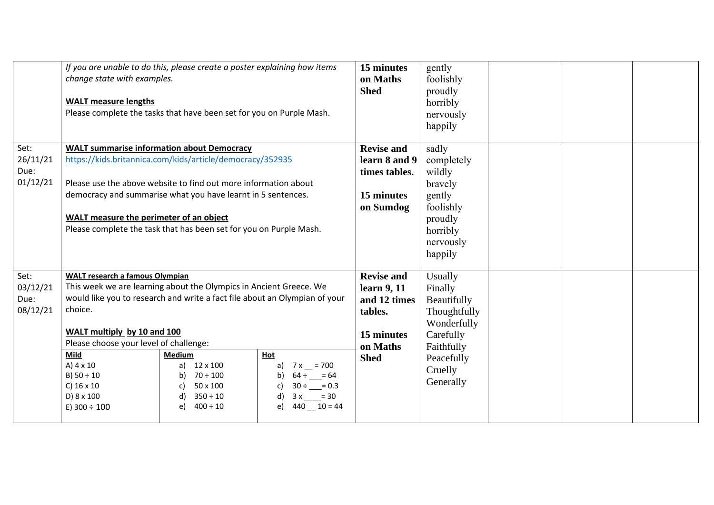|          | change state with examples.<br><b>WALT</b> measure lengths                    | If you are unable to do this, please create a poster explaining how items<br>Please complete the tasks that have been set for you on Purple Mash. |                          | 15 minutes<br>on Maths<br><b>Shed</b> | gently<br>foolishly<br>proudly<br>horribly<br>nervously<br>happily |  |  |
|----------|-------------------------------------------------------------------------------|---------------------------------------------------------------------------------------------------------------------------------------------------|--------------------------|---------------------------------------|--------------------------------------------------------------------|--|--|
| Set:     | <b>WALT summarise information about Democracy</b>                             |                                                                                                                                                   |                          | <b>Revise and</b>                     | sadly                                                              |  |  |
| 26/11/21 | https://kids.britannica.com/kids/article/democracy/352935                     |                                                                                                                                                   |                          | learn 8 and 9                         | completely                                                         |  |  |
| Due:     |                                                                               |                                                                                                                                                   |                          | times tables.                         | wildly                                                             |  |  |
| 01/12/21 | Please use the above website to find out more information about               |                                                                                                                                                   |                          |                                       | bravely                                                            |  |  |
|          | democracy and summarise what you have learnt in 5 sentences.                  |                                                                                                                                                   |                          | 15 minutes                            | gently                                                             |  |  |
|          | WALT measure the perimeter of an object                                       |                                                                                                                                                   | on Sumdog                | foolishly                             |                                                                    |  |  |
|          | Please complete the task that has been set for you on Purple Mash.            |                                                                                                                                                   |                          |                                       | proudly<br>horribly                                                |  |  |
|          |                                                                               |                                                                                                                                                   |                          |                                       | nervously                                                          |  |  |
|          |                                                                               |                                                                                                                                                   |                          |                                       | happily                                                            |  |  |
| Set:     | <b>WALT research a famous Olympian</b>                                        |                                                                                                                                                   |                          | <b>Revise and</b>                     | Usually                                                            |  |  |
| 03/12/21 | This week we are learning about the Olympics in Ancient Greece. We            |                                                                                                                                                   |                          | learn 9, 11                           | Finally                                                            |  |  |
| Due:     | would like you to research and write a fact file about an Olympian of your    |                                                                                                                                                   |                          | and 12 times                          | Beautifully                                                        |  |  |
| 08/12/21 | choice.                                                                       |                                                                                                                                                   | tables.                  | Thoughtfully                          |                                                                    |  |  |
|          |                                                                               |                                                                                                                                                   |                          | Wonderfully                           |                                                                    |  |  |
|          | WALT multiply by 10 and 100<br>Please choose your level of challenge:<br>Mild |                                                                                                                                                   |                          | 15 minutes                            | Carefully                                                          |  |  |
|          |                                                                               |                                                                                                                                                   |                          | on Maths                              | Faithfully                                                         |  |  |
|          | A) $4 \times 10$                                                              | <b>Medium</b><br>12 x 100<br>a)                                                                                                                   | Hot<br>a) $7x = 700$     | <b>Shed</b>                           | Peacefully                                                         |  |  |
|          | B) $50 \div 10$                                                               | $70 \div 100$<br>b)                                                                                                                               | $64 \div \_ = 64$<br>b)  |                                       | Cruelly                                                            |  |  |
|          | C) $16 \times 10$                                                             | 50 x 100<br>C)                                                                                                                                    | $30 \div \_ = 0.3$<br>c) |                                       | Generally                                                          |  |  |
|          | D) 8 x 100                                                                    | $350 \div 10$                                                                                                                                     | $3x \_ = 30$<br>d)       |                                       |                                                                    |  |  |
|          | E) $300 \div 100$                                                             | $400 \div 10$<br>e)                                                                                                                               | $440 - 10 = 44$<br>e)    |                                       |                                                                    |  |  |
|          |                                                                               |                                                                                                                                                   |                          |                                       |                                                                    |  |  |